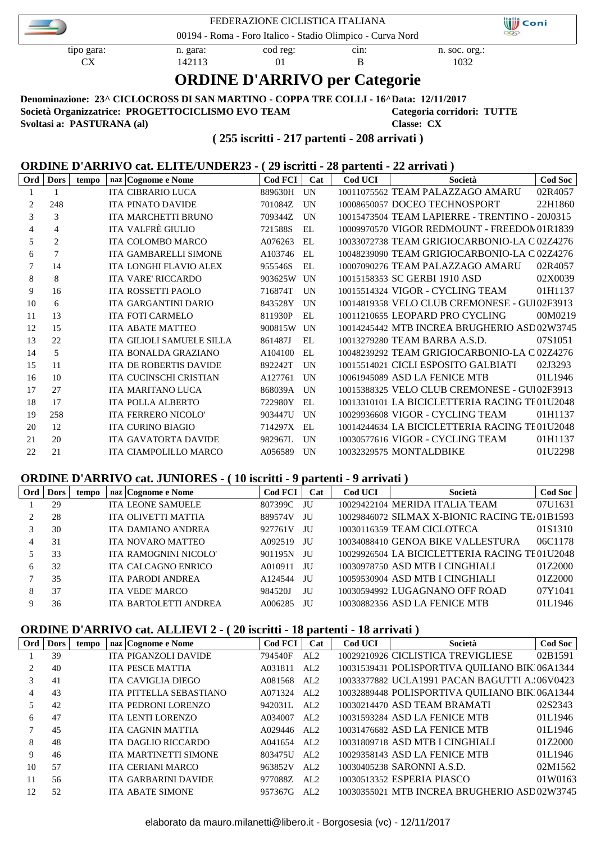| FEDERAZIONE CICLISTICA ITALIANA<br>00194 - Roma - Foro Italico - Stadio Olimpico - Curva Nord                                                                            |                                      |  |  |  |  |  |  |  |
|--------------------------------------------------------------------------------------------------------------------------------------------------------------------------|--------------------------------------|--|--|--|--|--|--|--|
| cod reg:<br>tipo gara:<br>cm:<br>n. soc. org.:<br>n. gara:<br>1032<br>CX.<br>142113<br>$\Omega$                                                                          |                                      |  |  |  |  |  |  |  |
|                                                                                                                                                                          | <b>ORDINE D'ARRIVO per Categorie</b> |  |  |  |  |  |  |  |
| Denominazione: 23^ CICLOCROSS DI SAN MARTINO - COPPA TRE COLLI - 16^ Data: 12/11/2017<br>Società Organizzatrice: PROGETTOCICLISMO EVO TEAM<br>Categoria corridori: TUTTE |                                      |  |  |  |  |  |  |  |

**Svoltasi a: PASTURANA (al) Classe: CX**

#### **( 255 iscritti - 217 partenti - 208 arrivati )**

#### **ORDINE D'ARRIVO cat. ELITE/UNDER23 - ( 29 iscritti - 28 partenti - 22 arrivati )**

| Ord | <b>Dors</b>    | tempo | naz Cognome e Nome            | Cod FCI | Cat        | Cod UCI | Società                                        | <b>Cod Soc</b> |
|-----|----------------|-------|-------------------------------|---------|------------|---------|------------------------------------------------|----------------|
|     |                |       | <b>ITA CIBRARIO LUCA</b>      | 889630H | UN         |         | 10011075562 TEAM PALAZZAGO AMARU               | 02R4057        |
| 2   | 248            |       | <b>ITA PINATO DAVIDE</b>      | 701084Z | UN         |         | 10008650057 DOCEO TECHNOSPORT                  | 22H1860        |
| 3   | 3              |       | <b>ITA MARCHETTI BRUNO</b>    | 709344Z | UN         |         | 10015473504 TEAM LAPIERRE - TRENTINO - 20J0315 |                |
| 4   | 4              |       | ITA VALFRÈ GIULIO             | 721588S | EL.        |         | 10009970570 VIGOR REDMOUNT - FREEDOM 01R1839   |                |
| 5   | $\overline{2}$ |       | <b>ITA COLOMBO MARCO</b>      | A076263 | EL.        |         | 10033072738 TEAM GRIGIOCARBONIO-LA C 02Z4276   |                |
| 6   | $\overline{7}$ |       | ITA GAMBARELLI SIMONE         | A103746 | EL.        |         | 10048239090 TEAM GRIGIOCARBONIO-LA C 02Z4276   |                |
| 7   | 14             |       | <b>ITA LONGHI FLAVIO ALEX</b> | 955546S | EL.        |         | 10007090276 TEAM PALAZZAGO AMARU               | 02R4057        |
| 8   | 8              |       | <b>ITA VARE' RICCARDO</b>     | 903625W | UN         |         | 10015158353 SC GERBI 1910 ASD                  | 02X0039        |
| 9   | 16             |       | <b>ITA ROSSETTI PAOLO</b>     | 716874T | UN         |         | 10015514324 VIGOR - CYCLING TEAM               | 01H1137        |
| 10  | 6              |       | <b>ITA GARGANTINI DARIO</b>   | 843528Y | UN         |         | 10014819358 VELO CLUB CREMONESE - GUI02F3913   |                |
| 11  | 13             |       | <b>ITA FOTI CARMELO</b>       | 811930P | EL.        |         | 10011210655 LEOPARD PRO CYCLING                | 00M0219        |
| 12  | 15             |       | <b>ITA ABATE MATTEO</b>       | 900815W | UN         |         | 10014245442 MTB INCREA BRUGHERIO ASD02W3745    |                |
| 13  | 22             |       | ITA GILIOLI SAMUELE SILLA     | 861487J | EL.        |         | 10013279280 TEAM BARBA A.S.D.                  | 07S1051        |
| 14  | 5              |       | <b>ITA BONALDA GRAZIANO</b>   | A104100 | EL.        |         | 10048239292 TEAM GRIGIOCARBONIO-LA C 02Z4276   |                |
| 15  | 11             |       | <b>ITA DE ROBERTIS DAVIDE</b> | 892242T | <b>UN</b>  |         | 10015514021 CICLI ESPOSITO GALBIATI            | 02J3293        |
| 16  | 10             |       | <b>ITA CUCINSCHI CRISTIAN</b> | A127761 | <b>IIN</b> |         | 10061945089 ASD LA FENICE MTB                  | 01L1946        |
| 17  | 27             |       | <b>ITA MARITANO LUCA</b>      | 868039A | UN         |         | 10015388325 VELO CLUB CREMONESE - GUI02F3913   |                |
| 18  | 17             |       | ITA POLLA ALBERTO             | 722980Y | EL.        |         | 10013310101 LA BICICLETTERIA RACING TE01U2048  |                |
| 19  | 258            |       | <b>ITA FERRERO NICOLO'</b>    | 903447U | UN         |         | 10029936608 VIGOR - CYCLING TEAM               | 01H1137        |
| 20  | 12             |       | <b>ITA CURINO BIAGIO</b>      | 714297X | EL.        |         | 10014244634 LA BICICLETTERIA RACING TE01U2048  |                |
| 21  | 20             |       | <b>ITA GAVATORTA DAVIDE</b>   | 982967L | UN         |         | 10030577616 VIGOR - CYCLING TEAM               | 01H1137        |
| 22  | 21             |       | <b>ITA CIAMPOLILLO MARCO</b>  | A056589 | UN         |         | 10032329575 MONTALDBIKE                        | 01U2298        |

#### **ORDINE D'ARRIVO cat. JUNIORES - ( 10 iscritti - 9 partenti - 9 arrivati )**

| Ord | <b>Dors</b> | tempo | naz   Cognome e Nome      | <b>Cod FCI</b> | Cat  | Cod UCI | Società                                                    | <b>Cod Soc</b> |
|-----|-------------|-------|---------------------------|----------------|------|---------|------------------------------------------------------------|----------------|
|     | 29          |       | <b>ITA LEONE SAMUELE</b>  | 807399C        | - JU |         | 10029422104 MERIDA ITALIA TEAM                             | 07U1631        |
|     | 28          |       | ITA OLIVETTI MATTIA       | 889574V        | JU   |         | 10029846072 SILMAX X-BIONIC RACING TE <sub>4</sub> 01B1593 |                |
|     | 30          |       | <b>ITA DAMIANO ANDREA</b> | 927761V        | JU   |         | 10030116359 TEAM CICLOTECA                                 | 01S1310        |
| 4   | 31          |       | <b>ITA NOVARO MATTEO</b>  | A092519        | JU   |         | 10034088410 GENOA BIKE VALLESTURA                          | 06C1178        |
|     | 33          |       | ITA RAMOGNINI NICOLO'     | 901195N        | - JU |         | 10029926504 LA BICICLETTERIA RACING TE01U2048              |                |
| 6   | 32          |       | ITA CALCAGNO ENRICO       | A010911        | JU   |         | 10030978750 ASD MTB I CINGHIALI                            | 01Z2000        |
|     | 35          |       | <b>ITA PARODI ANDREA</b>  | A124544        | JU   |         | 10059530904 ASD MTB I CINGHIALI                            | 01Z2000        |
|     | 37          |       | <b>ITA VEDE' MARCO</b>    | 984520J        | JU   |         | 10030594992 LUGAGNANO OFF ROAD                             | 07Y1041        |
|     | 36          |       | ITA BARTOLETTI ANDREA     | A006285        | ЛU   |         | 10030882356 ASD LA FENICE MTB                              | 01L1946        |

#### **ORDINE D'ARRIVO cat. ALLIEVI 2 - ( 20 iscritti - 18 partenti - 18 arrivati )**

| Ord            | <b>Dors</b> | tempo | naz Cognome e Nome           | Cod FCI | Cat  | Cod UCI | Società                                       | Cod Soc |
|----------------|-------------|-------|------------------------------|---------|------|---------|-----------------------------------------------|---------|
|                | 39          |       | ITA PIGANZOLI DAVIDE         | 794540F | AL2  |         | 10029210926 CICLISTICA TREVIGLIESE            | 02B1591 |
| $\overline{2}$ | 40          |       | <b>ITA PESCE MATTIA</b>      | A031811 | AL2  |         | 10031539431 POLISPORTIVA QUILIANO BIK106A1344 |         |
| 3              | 41          |       | ITA CAVIGLIA DIEGO           | A081568 | AI.2 |         | 10033377882 UCLA1991 PACAN BAGUTTI A.:06V0423 |         |
| 4              | 43          |       | ITA PITTELLA SEBASTIANO      | A071324 | AL2  |         | 10032889448 POLISPORTIVA QUILIANO BIK106A1344 |         |
| 5              | 42          |       | ITA PEDRONI LORENZO          | 942031L | AI.2 |         | 10030214470 ASD TEAM BRAMATI                  | 02S2343 |
| 6              | 47          |       | <b>ITA LENTI LORENZO</b>     | A034007 | AI.2 |         | 10031593284 ASD LA FENICE MTB                 | 01L1946 |
|                | 45          |       | ITA CAGNIN MATTIA            | A029446 | AI.2 |         | 10031476682 ASD LA FENICE MTB                 | 01L1946 |
| 8              | 48          |       | ITA DAGLIO RICCARDO          | A041654 | AI.2 |         | 10031809718 ASD MTB I CINGHIALI               | 01Z2000 |
| 9              | 46          |       | <b>ITA MARTINETTI SIMONE</b> | 803475U | AI.2 |         | 10029358143 ASD LA FENICE MTB                 | 01L1946 |
| 10             | 57          |       | <b>ITA CERIANI MARCO</b>     | 963852V | AL2  |         | 10030405238 SARONNI A.S.D.                    | 02M1562 |
| 11             | 56          |       | <b>ITA GARBARINI DAVIDE</b>  | 977088Z | AI.2 |         | 10030513352 ESPERIA PIASCO                    | 01W0163 |
| 12             | 52          |       | <b>ITA ABATE SIMONE</b>      | 957367G | AI.2 |         | 10030355021 MTB INCREA BRUGHERIO ASD02W3745   |         |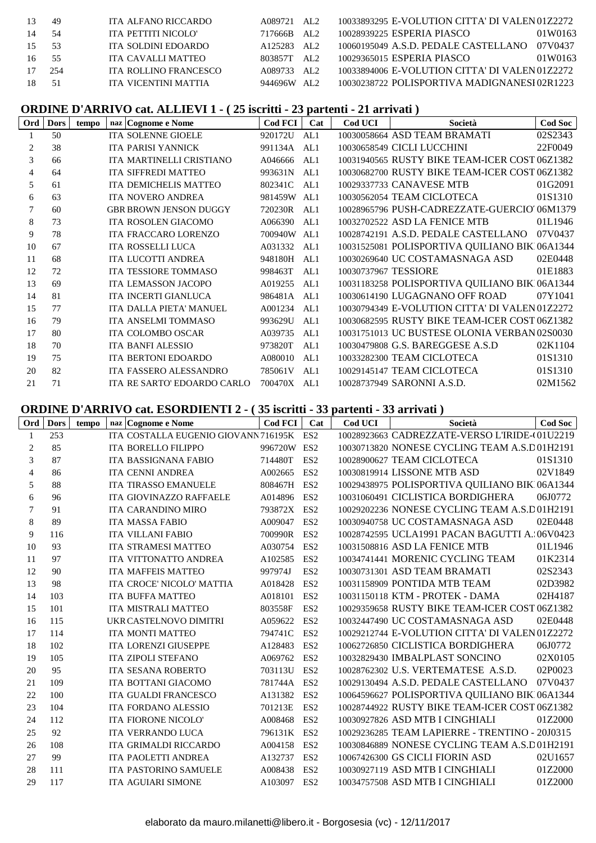| 13  | 49  | ITA ALFANO RICCARDO   | A089721 AL2                 | 10033893295 E-VOLUTION CITTA' DI VALEN01Z2272  |         |
|-----|-----|-----------------------|-----------------------------|------------------------------------------------|---------|
|     | -54 | ITA PETTITI NICOLO'   | AL $\mathcal{L}$<br>717666B | 10028939225 ESPERIA PIASCO                     | 01W0163 |
| 15  | .53 | ITA SOLDINI EDOARDO   | A125283 AL2                 | 10060195049 A.S.D. PEDALE CASTELLANO           | 07V0437 |
| 16. | -55 | ITA CAVALLI MATTEO    | 803857T AL2                 | 10029365015 ESPERIA PIASCO                     | 01W0163 |
|     | 254 | ITA ROLLINO FRANCESCO | A089733 AL2                 | 10033894006 E-VOLUTION CITTA' DI VALEN 01Z2272 |         |
| 18. | -51 | ITA VICENTINI MATTIA  | 944696W<br>AL $\mathcal{D}$ | 10030238722 POLISPORTIVA MADIGNANESI 02R1223   |         |
|     |     |                       |                             |                                                |         |

# **ORDINE D'ARRIVO cat. ALLIEVI 1 - ( 25 iscritti - 23 partenti - 21 arrivati )**

| Ord | <b>Dors</b> | naz Cognome e Nome<br>tempo   | Cod FCI | Cat  | Cod UCI              | Società                                        | <b>Cod Soc</b> |
|-----|-------------|-------------------------------|---------|------|----------------------|------------------------------------------------|----------------|
|     | 50          | <b>ITA SOLENNE GIOELE</b>     | 920172U | AL1  |                      | 10030058664 ASD TEAM BRAMATI                   | 02S2343        |
| 2   | 38          | <b>ITA PARISI YANNICK</b>     | 991134A | AL1  |                      | 10030658549 CICLI LUCCHINI                     | 22F0049        |
| 3   | 66          | ITA MARTINELLI CRISTIANO      | A046666 | AI.1 |                      | 10031940565 RUSTY BIKE TEAM-ICER COST 06Z1382  |                |
| 4   | 64          | ITA SIFFREDI MATTEO           | 993631N | AI.1 |                      | 10030682700 RUSTY BIKE TEAM-ICER COST 06Z1382  |                |
| 5   | 61          | ITA DEMICHELIS MATTEO         | 802341C | AI.1 |                      | 10029337733 CANAVESE MTB                       | 01G2091        |
| 6   | 63          | <b>ITA NOVERO ANDREA</b>      | 981459W | AL1  |                      | 10030562054 TEAM CICLOTECA                     | 01S1310        |
| 7   | 60          | <b>GBR BROWN JENSON DUGGY</b> | 720230R | AL1  |                      | 10028965796 PUSH-CADREZZATE-GUERCIO 06M1379    |                |
| 8   | 73          | ITA ROSOLEN GIACOMO           | A066390 | AI.1 |                      | 10032702522 ASD LA FENICE MTB                  | 01L1946        |
| 9   | 78          | <b>ITA FRACCARO LORENZO</b>   | 700940W | AI.1 |                      | 10028742191 A.S.D. PEDALE CASTELLANO           | 07V0437        |
| 10  | 67          | <b>ITA ROSSELLI LUCA</b>      | A031332 | AL1  |                      | 10031525081 POLISPORTIVA QUILIANO BIK106A1344  |                |
| 11  | 68          | ITA LUCOTTI ANDREA            | 948180H | AL1  |                      | 10030269640 UC COSTAMASNAGA ASD                | 02E0448        |
| 12  | 72          | ITA TESSIORE TOMMASO          | 998463T | AL1  | 10030737967 TESSIORE |                                                | 01E1883        |
| 13  | 69          | ITA LEMASSON JACOPO           | A019255 | AL1  |                      | 10031183258 POLISPORTIVA QUILIANO BIK106A1344  |                |
| 14  | 81          | ITA INCERTI GIANLUCA          | 986481A | AL1  |                      | 10030614190 LUGAGNANO OFF ROAD                 | 07Y1041        |
| 15  | 77          | ITA DALLA PIETA' MANUEL       | A001234 | AI.1 |                      | 10030794349 E-VOLUTION CITTA' DI VALEN 01Z2272 |                |
| 16  | 79          | ITA ANSELMI TOMMASO           | 993629U | AL1  |                      | 10030682595 RUSTY BIKE TEAM-ICER COST 06Z1382  |                |
| 17  | 80          | ITA COLOMBO OSCAR             | A039735 | AI.1 |                      | 10031751013 UC BUSTESE OLONIA VERBAN 02S0030   |                |
| 18  | 70          | <b>ITA BANFI ALESSIO</b>      | 973820T | AI.1 |                      | 10030479808 G.S. BAREGGESE A.S.D               | 02K1104        |
| 19  | 75          | <b>ITA BERTONI EDOARDO</b>    | A080010 | AI.1 |                      | 10033282300 TEAM CICLOTECA                     | 01S1310        |
| 20  | 82          | <b>ITA FASSERO ALESSANDRO</b> | 785061V | AL1  |                      | 10029145147 TEAM CICLOTECA                     | 01S1310        |
| 21  | 71          | ITA RE SARTO' EDOARDO CARLO   | 700470X | AL1  |                      | 10028737949 SARONNI A.S.D.                     | 02M1562        |

#### **ORDINE D'ARRIVO cat. ESORDIENTI 2 - ( 35 iscritti - 33 partenti - 33 arrivati )**

| Ord | <b>Dors</b> | tempo | naz Cognome e Nome                      | <b>Cod FCI</b> | Cat             | <b>Cod UCI</b> | Società                                        | <b>Cod Soc</b> |
|-----|-------------|-------|-----------------------------------------|----------------|-----------------|----------------|------------------------------------------------|----------------|
| 1   | 253         |       | ITA COSTALLA EUGENIO GIOVANN716195K ES2 |                |                 |                | 10028923663 CADREZZATE-VERSO L'IRIDE-(01U2219  |                |
| 2   | 85          |       | ITA BORELLO FILIPPO                     | 996720W ES2    |                 |                | 10030713820 NONESE CYCLING TEAM A.S.D01H2191   |                |
| 3   | 87          |       | ITA BASSIGNANA FABIO                    | 714480T        | ES <sub>2</sub> |                | 10028900627 TEAM CICLOTECA                     | 01S1310        |
| 4   | 86          |       | <b>ITA CENNI ANDREA</b>                 | A002665        | ES <sub>2</sub> |                | 10030819914 LISSONE MTB ASD                    | 02V1849        |
| 5   | 88          |       | <b>ITA TIRASSO EMANUELE</b>             | 808467H        | ES <sub>2</sub> |                | 10029438975 POLISPORTIVA QUILIANO BIK106A1344  |                |
| 6   | 96          |       | <b>ITA GIOVINAZZO RAFFAELE</b>          | A014896        | ES <sub>2</sub> |                | 10031060491 CICLISTICA BORDIGHERA              | 06J0772        |
| 7   | 91          |       | <b>ITA CARANDINO MIRO</b>               | 793872X        | ES <sub>2</sub> |                | 10029202236 NONESE CYCLING TEAM A.S.D01H2191   |                |
| 8   | 89          |       | <b>ITA MASSA FABIO</b>                  | A009047        | ES <sub>2</sub> |                | 10030940758 UC COSTAMASNAGA ASD                | 02E0448        |
| 9   | 116         |       | <b>ITA VILLANI FABIO</b>                | 700990R        | ES <sub>2</sub> |                | 10028742595 UCLA1991 PACAN BAGUTTI A.: 06V0423 |                |
| 10  | 93          |       | <b>ITA STRAMESI MATTEO</b>              | A030754        | ES <sub>2</sub> |                | 10031508816 ASD LA FENICE MTB                  | 01L1946        |
| 11  | 97          |       | ITA VITTONATTO ANDREA                   | A102585        | ES <sub>2</sub> |                | 10034741441 MORENIC CYCLING TEAM               | 01K2314        |
| 12  | 90          |       | <b>ITA MAFFEIS MATTEO</b>               | 997974J        | ES <sub>2</sub> |                | 10030731301 ASD TEAM BRAMATI                   | 02S2343        |
| 13  | 98          |       | ITA CROCE' NICOLO' MATTIA               | A018428        | ES <sub>2</sub> |                | 10031158909 PONTIDA MTB TEAM                   | 02D3982        |
| 14  | 103         |       | <b>ITA BUFFA MATTEO</b>                 | A018101        | ES <sub>2</sub> |                | 10031150118 KTM - PROTEK - DAMA                | 02H4187        |
| 15  | 101         |       | ITA MISTRALI MATTEO                     | 803558F        | ES <sub>2</sub> |                | 10029359658 RUSTY BIKE TEAM-ICER COST 06Z1382  |                |
| 16  | 115         |       | UKR CASTELNOVO DIMITRI                  | A059622        | ES <sub>2</sub> |                | 10032447490 UC COSTAMASNAGA ASD                | 02E0448        |
| 17  | 114         |       | ITA MONTI MATTEO                        | 794741C        | ES <sub>2</sub> |                | 10029212744 E-VOLUTION CITTA' DI VALEN01Z2272  |                |
| 18  | 102         |       | ITA LORENZI GIUSEPPE                    | A128483        | ES <sub>2</sub> |                | 10062726850 CICLISTICA BORDIGHERA              | 06J0772        |
| 19  | 105         |       | <b>ITA ZIPOLI STEFANO</b>               | A069762        | ES <sub>2</sub> |                | 10032829430 IMBALPLAST SONCINO                 | 02X0105        |
| 20  | 95          |       | <b>ITA SESANA ROBERTO</b>               | 703113U        | ES <sub>2</sub> |                | 10028762302 U.S. VERTEMATESE A.S.D.            | 02P0023        |
| 21  | 109         |       | ITA BOTTANI GIACOMO                     | 781744A        | ES <sub>2</sub> |                | 10029130494 A.S.D. PEDALE CASTELLANO           | 07V0437        |
| 22  | 100         |       | ITA GUALDI FRANCESCO                    | A131382        | ES <sub>2</sub> |                | 10064596627 POLISPORTIVA QUILIANO BIK106A1344  |                |
| 23  | 104         |       | ITA FORDANO ALESSIO                     | 701213E        | ES <sub>2</sub> |                | 10028744922 RUSTY BIKE TEAM-ICER COST 06Z1382  |                |
| 24  | 112         |       | ITA FIORONE NICOLO'                     | A008468        | ES <sub>2</sub> |                | 10030927826 ASD MTB I CINGHIALI                | 0172000        |
| 25  | 92          |       | <b>ITA VERRANDO LUCA</b>                | 796131K ES2    |                 |                | 10029236285 TEAM LAPIERRE - TRENTINO - 20J0315 |                |
| 26  | 108         |       | ITA GRIMALDI RICCARDO                   | A004158        | ES <sub>2</sub> |                | 10030846889 NONESE CYCLING TEAM A.S.D01H2191   |                |
| 27  | 99          |       | ITA PAOLETTI ANDREA                     | A132737        | ES <sub>2</sub> |                | 10067426300 GS CICLI FIORIN ASD                | 02U1657        |
| 28  | 111         |       | <b>ITA PASTORINO SAMUELE</b>            | A008438        | ES <sub>2</sub> |                | 10030927119 ASD MTB I CINGHIALI                | 01Z2000        |
| 29  | 117         |       | <b>ITA AGUIARI SIMONE</b>               | A103097 ES2    |                 |                | 10034757508 ASD MTB I CINGHIALI                | 01Z2000        |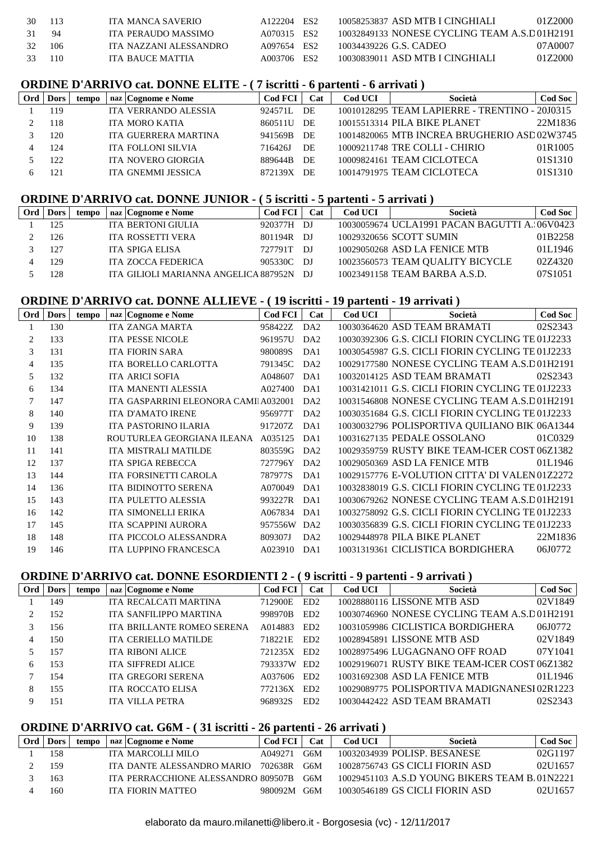| 30 113 |       | ITA MANCA SAVERIO      | A122204 ES2 | 10058253837 ASD MTB I CINGHIALI              | 0172000 |
|--------|-------|------------------------|-------------|----------------------------------------------|---------|
| 31 94  |       | ITA PERAUDO MASSIMO    | A070315 ES2 | 10032849133 NONESE CYCLING TEAM A.S.D01H2191 |         |
| 32     | - 106 | ITA NAZZANI ALESSANDRO | A097654 ES2 | 10034439226 G.S. CADEO                       | 07A0007 |
| 33 110 |       | ITA BAUCE MATTIA       | A003706 ES2 | 10030839011 ASD MTB I CINGHIALI              | 01Z2000 |
|        |       |                        |             |                                              |         |

#### **ORDINE D'ARRIVO cat. DONNE ELITE - ( 7 iscritti - 6 partenti - 6 arrivati )**

| Ord |      | tempo | naz   Cognome e Nome        | <b>Cod FCI</b> | Cat | Cod UCI | Società                                        | Cod Soc |
|-----|------|-------|-----------------------------|----------------|-----|---------|------------------------------------------------|---------|
|     | 19،  |       | <b>ITA VERRANDO ALESSIA</b> | 924571L        | DE. |         | 10010128295 TEAM LAPIERRE - TRENTINO - 20J0315 |         |
|     | . 18 |       | <b>ITA MORO KATIA</b>       | 860511U        | DE  |         | 10015513314 PILA BIKE PLANET                   | 22M1836 |
|     | 120  |       | ITA GUERRERA MARTINA        | 941569B        | DE  |         | 10014820065 MTB INCREA BRUGHERIO ASD02W3745    |         |
|     | 124  |       | <b>ITA FOLLONI SILVIA</b>   | 716426J        | DE  |         | 10009211748 TRE COLLI - CHIRIO                 | 01R1005 |
|     | フフ   |       | <b>ITA NOVERO GIORGIA</b>   | 889644B        | DE  |         | 10009824161 TEAM CICLOTECA                     | 01S1310 |
|     | 21   |       | ITA GNEMMI JESSICA          | 872139X        | DE. |         | 10014791975 TEAM CICLOTECA                     | 01S1310 |
|     |      |       |                             |                |     |         |                                                |         |

#### **ORDINE D'ARRIVO cat. DONNE JUNIOR - ( 5 iscritti - 5 partenti - 5 arrivati )**

| Ord | <b>Dors</b> | tempo | naz Cognome e Nome                    | <b>Cod FCI</b> | Cat   | <b>Cod UCI</b> | Società                                       | Cod Soc |
|-----|-------------|-------|---------------------------------------|----------------|-------|----------------|-----------------------------------------------|---------|
|     | 125         |       | <b>ITA BERTONI GIULIA</b>             | 920377H        | - D.I |                | 10030059674 UCLA1991 PACAN BAGUTTI A.:06V0423 |         |
|     | 126         |       | ITA ROSSETTI VERA                     | 801194R        | - D.I |                | 10029320656 SCOTT SUMIN                       | 01B2258 |
|     | 127         |       | ITA SPIGA ELISA                       | 727791T        | -DJ   |                | 10029050268 ASD LA FENICE MTB                 | 01L1946 |
|     | 129         |       | <b>ITA ZOCCA FEDERICA</b>             | 905330C DJ     |       |                | 10023560573 TEAM QUALITY BICYCLE              | 02Z4320 |
|     | 28          |       | ITA GILIOLI MARIANNA ANGELICA 887952N |                | - DI  |                | 10023491158 TEAM BARBA A.S.D.                 | 07S1051 |

## **ORDINE D'ARRIVO cat. DONNE ALLIEVE - ( 19 iscritti - 19 partenti - 19 arrivati )**

| Ord | <b>Dors</b> | tempo | naz Cognome e Nome                   | <b>Cod FCI</b> | Cat              | <b>Cod UCI</b> | Società                                          | <b>Cod Soc</b> |
|-----|-------------|-------|--------------------------------------|----------------|------------------|----------------|--------------------------------------------------|----------------|
|     | 130         |       | <b>ITA ZANGA MARTA</b>               | 958422Z        | DA <sub>2</sub>  |                | 10030364620 ASD TEAM BRAMATI                     | 02S2343        |
| 2   | 133         |       | <b>ITA PESSE NICOLE</b>              | 961957U        | DA <sub>2</sub>  |                | 10030392306 G.S. CICLI FIORIN CYCLING TE 01J2233 |                |
| 3   | 131         |       | <b>ITA FIORIN SARA</b>               | 980089S        | DA1              |                | 10030545987 G.S. CICLI FIORIN CYCLING TE 01J2233 |                |
| 4   | 135         |       | <b>ITA BORELLO CARLOTTA</b>          | 791345C        | DA <sub>2</sub>  |                | 10029177580 NONESE CYCLING TEAM A.S.D01H2191     |                |
| 5   | 132         |       | <b>ITA ARICI SOFIA</b>               | A048607        | DA1              |                | 10032014125 ASD TEAM BRAMATI                     | 02S2343        |
| 6   | 134         |       | ITA MANENTI ALESSIA                  | A027400        | DA1              |                | 10031421011 G.S. CICLI FIORIN CYCLING TE 01J2233 |                |
|     | 147         |       | ITA GASPARRINI ELEONORA CAMILA032001 |                | DA <sub>2</sub>  |                | 10031546808 NONESE CYCLING TEAM A.S.D01H2191     |                |
| 8   | 140         |       | <b>ITA D'AMATO IRENE</b>             | 956977T        | D <sub>A</sub> 2 |                | 10030351684 G.S. CICLI FIORIN CYCLING TE 01J2233 |                |
| 9   | 139         |       | ITA PASTORINO ILARIA                 | 917207Z        | DA1              |                | 10030032796 POLISPORTIVA QUILIANO BIK106A1344    |                |
| 10  | 138         |       | ROUTURLEA GEORGIANA ILEANA           | A035125        | DA1              |                | 10031627135 PEDALE OSSOLANO                      | 01C0329        |
| 11  | 141         |       | <b>ITA MISTRALI MATILDE</b>          | 803559G        | DA2              |                | 10029359759 RUSTY BIKE TEAM-ICER COST 06Z1382    |                |
| 12  | 137         |       | <b>ITA SPIGA REBECCA</b>             | 727796Y        | D <sub>A</sub> 2 |                | 10029050369 ASD LA FENICE MTB                    | 01L1946        |
| 13  | 144         |       | ITA FORSINETTI CAROLA                | 787977S        | DA1              |                | 10029157776 E-VOLUTION CITTA' DI VALEN01Z2272    |                |
| 14  | 136         |       | ITA BIDINOTTO SERENA                 | A070049        | DA1              |                | 10032838019 G.S. CICLI FIORIN CYCLING TE 01J2233 |                |
| 15  | 143         |       | <b>ITA PULETTO ALESSIA</b>           | 993227R        | DA1              |                | 10030679262 NONESE CYCLING TEAM A.S.D01H2191     |                |
| 16  | 142         |       | <b>ITA SIMONELLI ERIKA</b>           | A067834        | DA1              |                | 10032758092 G.S. CICLI FIORIN CYCLING TE 01J2233 |                |
| 17  | 145         |       | <b>ITA SCAPPINI AURORA</b>           | 957556W        | DA <sub>2</sub>  |                | 10030356839 G.S. CICLI FIORIN CYCLING TE 01J2233 |                |
| 18  | 148         |       | ITA PICCOLO ALESSANDRA               | 809307J        | DA <sub>2</sub>  |                | 10029448978 PILA BIKE PLANET                     | 22M1836        |
| 19  | 146         |       | <b>ITA LUPPINO FRANCESCA</b>         | A023910        | DA1              |                | 10031319361 CICLISTICA BORDIGHERA                | 06J0772        |
|     |             |       |                                      |                |                  |                |                                                  |                |

### **ORDINE D'ARRIVO cat. DONNE ESORDIENTI 2 - ( 9 iscritti - 9 partenti - 9 arrivati )**

| Ord     | <b>Dors</b> | tempo | naz Cognome e Nome         | <b>Cod FCI</b> | Cat             | Cod UCI | Società                                       | <b>Cod Soc</b> |
|---------|-------------|-------|----------------------------|----------------|-----------------|---------|-----------------------------------------------|----------------|
|         | 149         |       | ITA RECALCATI MARTINA      | 712900E        | ED <sub>2</sub> |         | 10028880116 LISSONE MTB ASD                   | 02V1849        |
| $2^{1}$ | 152         |       | ITA SANFILIPPO MARTINA     | 998970B        | ED <sub>2</sub> |         | 10030746960 NONESE CYCLING TEAM A.S.D01H2191  |                |
|         | 156         |       | ITA BRILLANTE ROMEO SERENA | A014883        | ED <sub>2</sub> |         | 10031059986 CICLISTICA BORDIGHERA             | 06J0772        |
| 4       | 150         |       | ITA CERIELLO MATILDE       | 718221E        | ED <sub>2</sub> |         | 10028945891 LISSONE MTB ASD                   | 02V1849        |
|         | 157         |       | <b>ITA RIBONI ALICE</b>    | 721235X ED2    |                 |         | 10028975496 LUGAGNANO OFF ROAD                | 07Y1041        |
| 6       | 153         |       | <b>ITA SIFFREDI ALICE</b>  | 793337W ED2    |                 |         | 10029196071 RUSTY BIKE TEAM-ICER COST 06Z1382 |                |
|         | 154         |       | <b>ITA GREGORI SERENA</b>  | A037606        | ED <sub>2</sub> |         | 10031692308 ASD LA FENICE MTB                 | 01L1946        |
| 8       | 155         |       | <b>ITA ROCCATO ELISA</b>   | 772136X        | ED <sub>2</sub> |         | 10029089775 POLISPORTIVA MADIGNANESI 02R1223  |                |
| 9       | 151         |       | <b>ITA VILLA PETRA</b>     | 968932S        | ED <sub>2</sub> |         | 10030442422 ASD TEAM BRAMATI                  | 02S2343        |

#### **ORDINE D'ARRIVO cat. G6M - ( 31 iscritti - 26 partenti - 26 arrivati )**

| Ord | <b>Dors</b> | tempo | naz   Cognome e Nome                | <b>Cod FCI</b> | $\mathbf{Cat}$ | Cod UCI | Società                                       | <b>Cod Soc</b> |
|-----|-------------|-------|-------------------------------------|----------------|----------------|---------|-----------------------------------------------|----------------|
|     | 158         |       | ITA MARCOLLI MILO                   | A049271        | G6M            |         | 10032034939 POLISP, BESANESE                  | 02G1197        |
|     | 159         |       | ITA DANTE ALESSANDRO MARIO          | 702638R        | G6M            |         | 10028756743 GS CICLI FIORIN ASD               | 02U1657        |
|     | 163         |       | ITA PERRACCHIONE ALESSANDRO 809507B |                | G6M            |         | 10029451103 A.S.D YOUNG BIKERS TEAM B.01N2221 |                |
|     | 160         |       | ITA FIORIN MATTEO                   | 980092M        | G6M            |         | 10030546189 GS CICLI FIORIN ASD               | 02U1657        |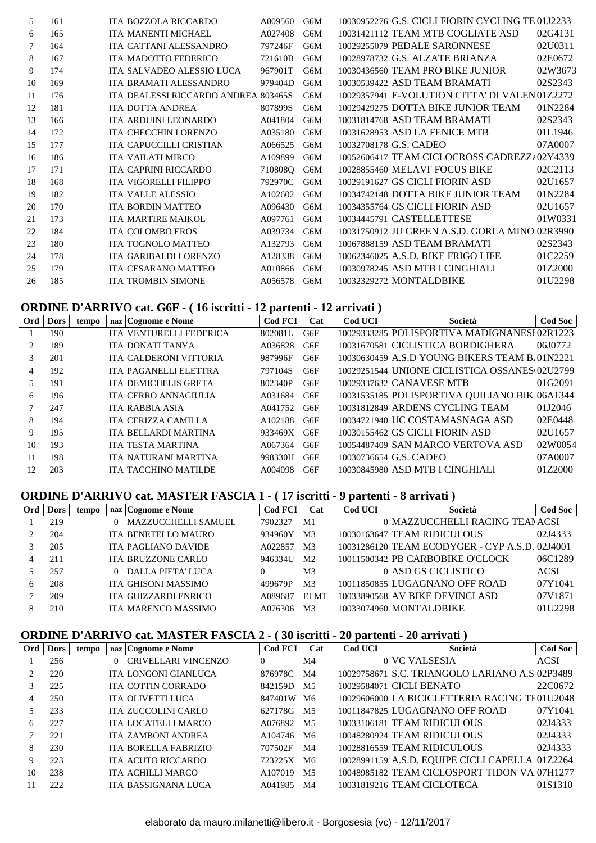| 5. | 161 | ITA BOZZOLA RICCARDO                 | A009560 | G6M | 10030952276 G.S. CICLI FIORIN CYCLING TE 01J2233 |         |
|----|-----|--------------------------------------|---------|-----|--------------------------------------------------|---------|
| 6  | 165 | ITA MANENTI MICHAEL                  | A027408 | G6M | 10031421112 TEAM MTB COGLIATE ASD                | 02G4131 |
| 7  | 164 | ITA CATTANI ALESSANDRO               | 797246F | G6M | 10029255079 PEDALE SARONNESE                     | 02U0311 |
| 8  | 167 | ITA MADOTTO FEDERICO                 | 721610B | G6M | 10028978732 G.S. ALZATE BRIANZA                  | 02E0672 |
| 9  | 174 | ITA SALVADEO ALESSIO LUCA            | 967901T | G6M | 10030436560 TEAM PRO BIKE JUNIOR                 | 02W3673 |
| 10 | 169 | ITA BRAMATI ALESSANDRO               | 979404D | G6M | 10030539422 ASD TEAM BRAMATI                     | 02S2343 |
| 11 | 176 | ITA DEALESSI RICCARDO ANDREA 803465S |         | G6M | 10029357941 E-VOLUTION CITTA' DI VALEN 01Z2272   |         |
| 12 | 181 | <b>ITA DOTTA ANDREA</b>              | 807899S | G6M | 10029429275 DOTTA BIKE JUNIOR TEAM               | 01N2284 |
| 13 | 166 | ITA ARDUINI LEONARDO                 | A041804 | G6M | 10031814768 ASD TEAM BRAMATI                     | 02S2343 |
| 14 | 172 | ITA CHECCHIN LORENZO                 | A035180 | G6M | 10031628953 ASD LA FENICE MTB                    | 01L1946 |
| 15 | 177 | ITA CAPUCCILLI CRISTIAN              | A066525 | G6M | 10032708178 G.S. CADEO                           | 07A0007 |
| 16 | 186 | <b>ITA VAILATI MIRCO</b>             | A109899 | G6M | 10052606417 TEAM CICLOCROSS CADREZZ/02Y4339      |         |
| 17 | 171 | ITA CAPRINI RICCARDO                 | 710808Q | G6M | 10028855460 MELAVI' FOCUS BIKE                   | 02C2113 |
| 18 | 168 | ITA VIGORELLI FILIPPO                | 792970C | G6M | 10029191627 GS CICLI FIORIN ASD                  | 02U1657 |
| 19 | 182 | <b>ITA VALLE ALESSIO</b>             | A102602 | G6M | 10034742148 DOTTA BIKE JUNIOR TEAM               | 01N2284 |
| 20 | 170 | <b>ITA BORDIN MATTEO</b>             | A096430 | G6M | 10034355764 GS CICLI FIORIN ASD                  | 02U1657 |
| 21 | 173 | <b>ITA MARTIRE MAIKOL</b>            | A097761 | G6M | 10034445791 CASTELLETTESE                        | 01W0331 |
| 22 | 184 | <b>ITA COLOMBO EROS</b>              | A039734 | G6M | 10031750912 JU GREEN A.S.D. GORLA MINO 02R3990   |         |
| 23 | 180 | <b>ITA TOGNOLO MATTEO</b>            | A132793 | G6M | 10067888159 ASD TEAM BRAMATI                     | 02S2343 |
| 24 | 178 | ITA GARIBALDI LORENZO                | A128338 | G6M | 10062346025 A.S.D. BIKE FRIGO LIFE               | 01C2259 |
| 25 | 179 | <b>ITA CESARANO MATTEO</b>           | A010866 | G6M | 10030978245 ASD MTB I CINGHIALI                  | 01Z2000 |
| 26 | 185 | <b>ITA TROMBIN SIMONE</b>            | A056578 | G6M | 10032329272 MONTALDBIKE                          | 01U2298 |

# **ORDINE D'ARRIVO cat. G6F - ( 16 iscritti - 12 partenti - 12 arrivati )**

| Ord            | <b>Dors</b> | tempo | naz Cognome e Nome       | <b>Cod FCI</b> | Cat | Cod UCI | Società                                       | <b>Cod Soc</b> |
|----------------|-------------|-------|--------------------------|----------------|-----|---------|-----------------------------------------------|----------------|
|                | 190         |       | ITA VENTURELLI FEDERICA  | 802081L        | G6F |         | 10029333285 POLISPORTIVA MADIGNANESI 02R1223  |                |
| $\mathfrak{D}$ | 189         |       | ITA DONATI TANYA         | A036828        | G6F |         | 10031670581 CICLISTICA BORDIGHERA             | 06J0772        |
| 3              | 201         |       | ITA CALDERONI VITTORIA   | 987996F        | G6F |         | 10030630459 A.S.D YOUNG BIKERS TEAM B.01N2221 |                |
| 4              | 192         |       | ITA PAGANELLI ELETTRA    | 797104S        | G6F |         | 10029251544 UNIONE CICLISTICA OSSANES(02U2799 |                |
| 5              | 191         |       | ITA DEMICHELIS GRETA     | 802340P        | G6F |         | 10029337632 CANAVESE MTB                      | 01G2091        |
| 6              | 196         |       | ITA CERRO ANNAGIULIA     | A031684        | G6F |         | 10031535185 POLISPORTIVA QUILIANO BIK106A1344 |                |
|                | 247         |       | <b>ITA RABBIA ASIA</b>   | A041752        | G6F |         | 10031812849 ARDENS CYCLING TEAM               | 01J2046        |
| 8              | 194         |       | ITA CERIZZA CAMILLA      | A102188        | G6F |         | 10034721940 UC COSTAMASNAGA ASD               | 02E0448        |
| 9              | 195         |       | ITA BELLARDI MARTINA     | 933469X        | G6F |         | 10030155462 GS CICLI FIORIN ASD               | 02U1657        |
| 10             | 193         |       | <b>ITA TESTA MARTINA</b> | A067364        | G6F |         | 10054487409 SAN MARCO VERTOVA ASD             | 02W0054        |
| 11             | 198         |       | ITA NATURANI MARTINA     | 998330H        | G6F |         | 10030736654 G.S. CADEO                        | 07A0007        |
| 12             | 203         |       | ITA TACCHINO MATILDE     | A004098        | G6F |         | 10030845980 ASD MTB I CINGHIALI               | 01Z2000        |

## **ORDINE D'ARRIVO cat. MASTER FASCIA 1 - ( 17 iscritti - 9 partenti - 8 arrivati )**

| Ord | <b>Dors</b> | tempo |          | naz Cognome e Nome         | <b>Cod FCI</b> | Cat            | <b>Cod UCI</b> | Società                                        | <b>Cod Soc</b> |
|-----|-------------|-------|----------|----------------------------|----------------|----------------|----------------|------------------------------------------------|----------------|
|     | 219         |       |          | <b>MAZZUCCHELLI SAMUEL</b> | 7902327        | M1             |                | 0 MAZZUCCHELLI RACING TEANACSI                 |                |
|     | 204         |       |          | ITA BENETELLO MAURO        | 934960Y        | M <sub>3</sub> |                | 10030163647 TEAM RIDICULOUS                    | 02J4333        |
|     | 205         |       |          | <b>ITA PAGLIANO DAVIDE</b> | A022857        | M <sub>3</sub> |                | 10031286120 TEAM ECODYGER - CYP A.S.D. 02J4001 |                |
|     | 211         |       |          | ITA BRUZZONE CARLO         | 946334U        | M <sub>2</sub> |                | 10011500342 PB CARBOBIKE O'CLOCK               | 06C1289        |
|     | 257         |       | $\Omega$ | DALLA PIETA' LUCA          |                | M3             |                | 0 ASD GS CICLISTICO                            | <b>ACSI</b>    |
| 6   | 208         |       |          | ITA GHISONI MASSIMO        | 499679P        | M <sub>3</sub> |                | 10011850855 LUGAGNANO OFF ROAD                 | 07Y1041        |
|     | 209         |       |          | ITA GUIZZARDI ENRICO       | A089687        | <b>ELMT</b>    |                | 10033890568 AV BIKE DEVINCI ASD                | 07V1871        |
|     | 210         |       |          | ITA MARENCO MASSIMO        | A076306        | M3             |                | 10033074960 MONTALDBIKE                        | 01U2298        |

# **ORDINE D'ARRIVO cat. MASTER FASCIA 2 - ( 30 iscritti - 20 partenti - 20 arrivati )**

| Ord | <b>Dors</b> | tempo | naz Cognome e Nome        | Cod FCI    | Cat            | Cod UCI | Società                                         | <b>Cod Soc</b> |
|-----|-------------|-------|---------------------------|------------|----------------|---------|-------------------------------------------------|----------------|
|     | 256         |       | CRIVELLARI VINCENZO       | $\theta$   | M4             |         | 0 VC VALSESIA                                   | <b>ACSI</b>    |
|     | 220         |       | ITA LONGONI GIANLUCA      | 876978C    | M4             |         | 10029758671 S.C. TRIANGOLO LARIANO A.S.02P3489  |                |
|     | 225         |       | <b>ITA COTTIN CORRADO</b> | 842159D    | M5             |         | 10029584071 CICLI BENATO                        | 22C0672        |
| 4   | 250         |       | ITA OLIVETTI LUCA         | 847401W M6 |                |         | 10029606000 LA BICICLETTERIA RACING TE01U2048   |                |
|     | 233         |       | ITA ZUCCOLINI CARLO       | 627178G    | M5             |         | 10011847825 LUGAGNANO OFF ROAD                  | 07Y1041        |
| 6   | 227         |       | ITA LOCATELLI MARCO       | A076892 M5 |                |         | 10033106181 TEAM RIDICULOUS                     | 02J4333        |
|     | 221         |       | <b>ITA ZAMBONI ANDREA</b> | A104746    | M6             |         | 10048280924 TEAM RIDICULOUS                     | 02J4333        |
| 8   | 230         |       | ITA BORELLA FABRIZIO      | 707502F    | M <sub>4</sub> |         | 10028816559 TEAM RIDICULOUS                     | 02J4333        |
| 9   | 223         |       | ITA ACUTO RICCARDO        | 723225X    | M6             |         | 10028991159 A.S.D. EQUIPE CICLI CAPELLA 01Z2264 |                |
| 10  | 238         |       | ITA ACHILLI MARCO         | A107019    | M5             |         | 10048985182 TEAM CICLOSPORT TIDON VA107H1277    |                |
|     | 222         |       | ITA BASSIGNANA LUCA       | A041985    | M4             |         | 10031819216 TEAM CICLOTECA                      | 01S1310        |